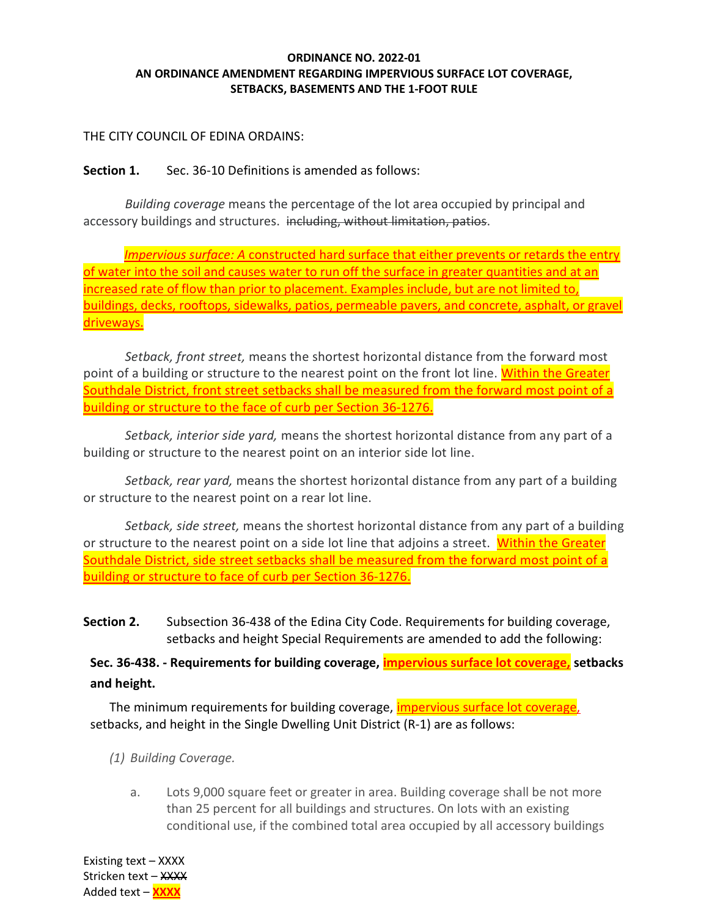### ORDINANCE NO. 2022-01 AN ORDINANCE AMENDMENT REGARDING IMPERVIOUS SURFACE LOT COVERAGE, SETBACKS, BASEMENTS AND THE 1-FOOT RULE

## THE CITY COUNCIL OF EDINA ORDAINS:

## Section 1. Sec. 36-10 Definitions is amended as follows:

Building coverage means the percentage of the lot area occupied by principal and accessory buildings and structures. including, without limitation, patios.

Impervious surface: A constructed hard surface that either prevents or retards the entry of water into the soil and causes water to run off the surface in greater quantities and at an increased rate of flow than prior to placement. Examples include, but are not limited to, buildings, decks, rooftops, sidewalks, patios, permeable pavers, and concrete, asphalt, or gravel driveways.

Setback, front street, means the shortest horizontal distance from the forward most point of a building or structure to the nearest point on the front lot line. Within the Greater Southdale District, front street setbacks shall be measured from the forward most point of a building or structure to the face of curb per Section 36-1276.

Setback, interior side yard, means the shortest horizontal distance from any part of a building or structure to the nearest point on an interior side lot line.

Setback, rear yard, means the shortest horizontal distance from any part of a building or structure to the nearest point on a rear lot line.

Setback, side street, means the shortest horizontal distance from any part of a building or structure to the nearest point on a side lot line that adjoins a street. Within the Greater Southdale District, side street setbacks shall be measured from the forward most point of a building or structure to face of curb per Section 36-1276.

Section 2. Subsection 36-438 of the Edina City Code. Requirements for building coverage, setbacks and height Special Requirements are amended to add the following:

Sec. 36-438. - Requirements for building coverage, *impervious surface lot coverage*, setbacks and height.

The minimum requirements for building coverage, **impervious surface lot coverage**, setbacks, and height in the Single Dwelling Unit District (R-1) are as follows:

(1) Building Coverage.

a. Lots 9,000 square feet or greater in area. Building coverage shall be not more than 25 percent for all buildings and structures. On lots with an existing conditional use, if the combined total area occupied by all accessory buildings

Existing text – XXXX Stricken text – XXXX Added text – **XXXX**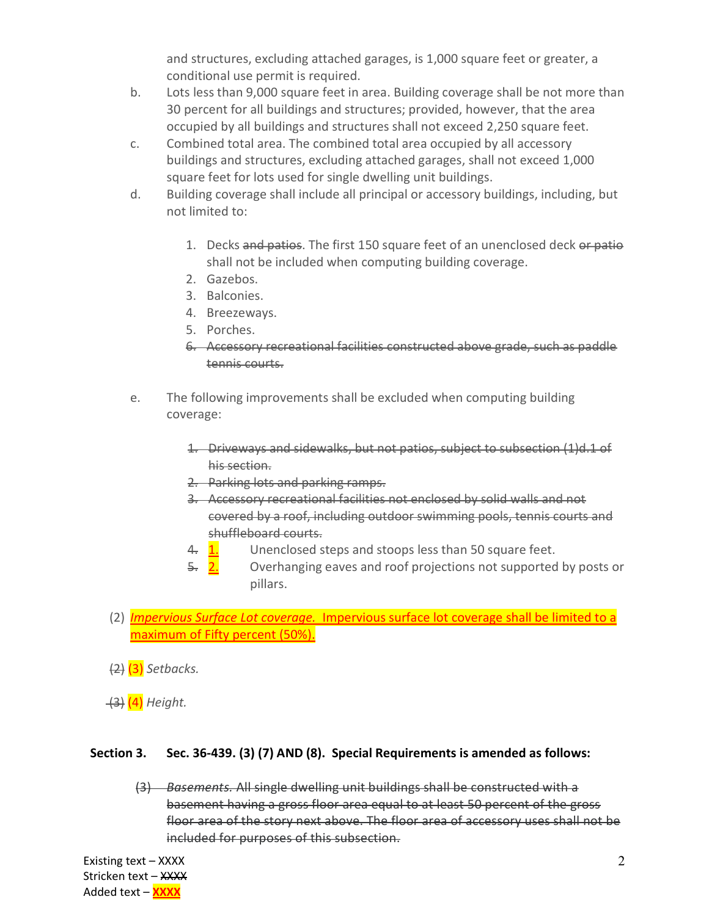and structures, excluding attached garages, is 1,000 square feet or greater, a conditional use permit is required.

- b. Lots less than 9,000 square feet in area. Building coverage shall be not more than 30 percent for all buildings and structures; provided, however, that the area occupied by all buildings and structures shall not exceed 2,250 square feet.
- c. Combined total area. The combined total area occupied by all accessory buildings and structures, excluding attached garages, shall not exceed 1,000 square feet for lots used for single dwelling unit buildings.
- d. Building coverage shall include all principal or accessory buildings, including, but not limited to:
	- 1. Decks and patios. The first 150 square feet of an unenclosed deck or patio shall not be included when computing building coverage.
	- 2. Gazebos.
	- 3. Balconies.
	- 4. Breezeways.
	- 5. Porches.
	- 6. Accessory recreational facilities constructed above grade, such as paddle tennis courts.
- e. The following improvements shall be excluded when computing building coverage:
	- 1. Driveways and sidewalks, but not patios, subject to subsection (1)d.1 of his section.
	- 2. Parking lots and parking ramps.
	- 3. Accessory recreational facilities not enclosed by solid walls and not covered by a roof, including outdoor swimming pools, tennis courts and shuffleboard courts.
	- 4.  $\overline{1.}$  Unenclosed steps and stoops less than 50 square feet.
	- 5. 2. Overhanging eaves and roof projections not supported by posts or pillars.
- (2) *Impervious Surface Lot coverage.* Impervious surface lot coverage shall be limited to a maximum of Fifty percent (50%).

 $(2)$   $(3)$  Setbacks.

(4) Height.

# Section 3. Sec. 36-439. (3) (7) AND (8). Special Requirements is amended as follows:

(3) Basements. All single dwelling unit buildings shall be constructed with a basement having a gross floor area equal to at least 50 percent of the gross floor area of the story next above. The floor area of accessory uses shall not be included for purposes of this subsection.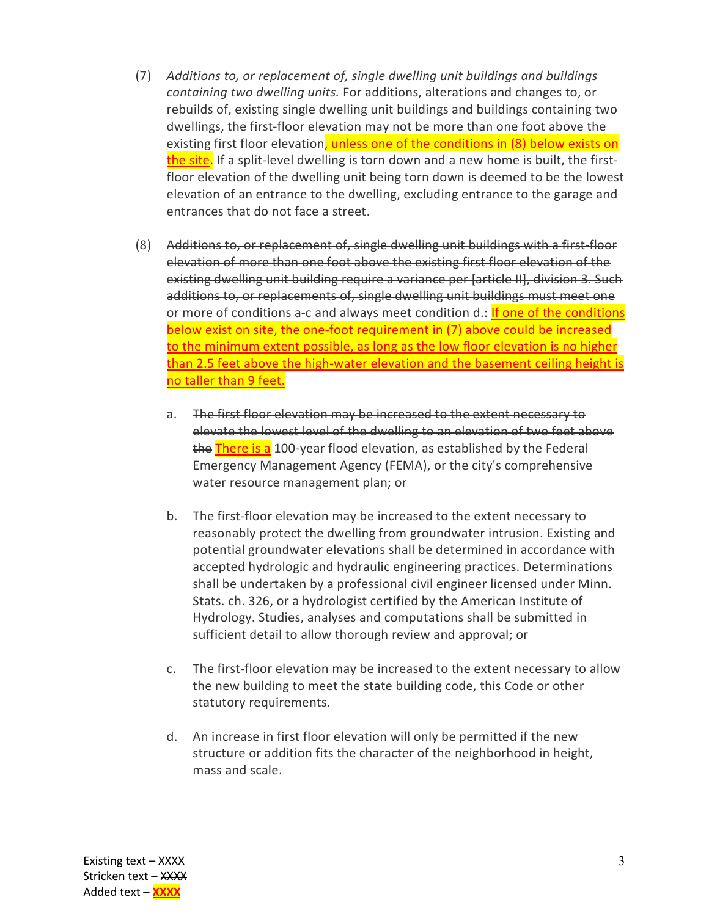- (7) Additions to, or replacement of, single dwelling unit buildings and buildings containing two dwelling units. For additions, alterations and changes to, or rebuilds of, existing single dwelling unit buildings and buildings containing two dwellings, the first-floor elevation may not be more than one foot above the existing first floor elevation, unless one of the conditions in (8) below exists on the site. If a split-level dwelling is torn down and a new home is built, the firstfloor elevation of the dwelling unit being torn down is deemed to be the lowest elevation of an entrance to the dwelling, excluding entrance to the garage and entrances that do not face a street.
- (8) Additions to, or replacement of, single dwelling unit buildings with a first-floor elevation of more than one foot above the existing first floor elevation of the existing dwelling unit building require a variance per [article II], division 3. Such additions to, or replacements of, single dwelling unit buildings must meet one or more of conditions a-c and always meet condition d.: If one of the conditions below exist on site, the one-foot requirement in (7) above could be increased to the minimum extent possible, as long as the low floor elevation is no higher than 2.5 feet above the high-water elevation and the basement ceiling height is no taller than 9 feet.
	- a. The first floor elevation may be increased to the extent necessary to elevate the lowest level of the dwelling to an elevation of two feet above the There is a 100-year flood elevation, as established by the Federal Emergency Management Agency (FEMA), or the city's comprehensive water resource management plan; or
	- b. The first-floor elevation may be increased to the extent necessary to reasonably protect the dwelling from groundwater intrusion. Existing and potential groundwater elevations shall be determined in accordance with accepted hydrologic and hydraulic engineering practices. Determinations shall be undertaken by a professional civil engineer licensed under Minn. Stats. ch. 326, or a hydrologist certified by the American Institute of Hydrology. Studies, analyses and computations shall be submitted in sufficient detail to allow thorough review and approval; or
	- c. The first-floor elevation may be increased to the extent necessary to allow the new building to meet the state building code, this Code or other statutory requirements.
	- d. An increase in first floor elevation will only be permitted if the new structure or addition fits the character of the neighborhood in height, mass and scale.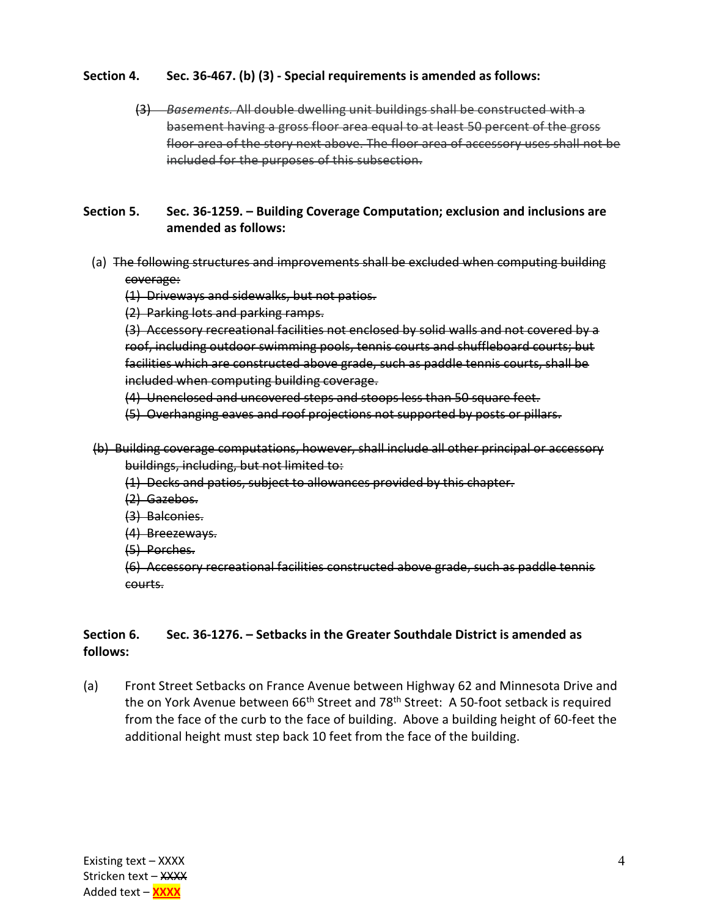- Section 4. Sec. 36-467. (b) (3) Special requirements is amended as follows:
	- (3) Basements. All double dwelling unit buildings shall be constructed with a basement having a gross floor area equal to at least 50 percent of the gross floor area of the story next above. The floor area of accessory uses shall not be included for the purposes of this subsection.
- Section 5. Sec. 36-1259. Building Coverage Computation; exclusion and inclusions are amended as follows:
- (a) The following structures and improvements shall be excluded when computing building coverage:

(1) Driveways and sidewalks, but not patios.

(2) Parking lots and parking ramps.

(3) Accessory recreational facilities not enclosed by solid walls and not covered by a roof, including outdoor swimming pools, tennis courts and shuffleboard courts; but facilities which are constructed above grade, such as paddle tennis courts, shall be included when computing building coverage.

(4) Unenclosed and uncovered steps and stoops less than 50 square feet.

(5) Overhanging eaves and roof projections not supported by posts or pillars.

- (b) Building coverage computations, however, shall include all other principal or accessory buildings, including, but not limited to:
	- (1) Decks and patios, subject to allowances provided by this chapter.
	- (2) Gazebos.
	- (3) Balconies.
	- (4) Breezeways.
	- (5) Porches.

(6) Accessory recreational facilities constructed above grade, such as paddle tennis courts.

# Section 6. Sec. 36-1276. – Setbacks in the Greater Southdale District is amended as follows:

(a) Front Street Setbacks on France Avenue between Highway 62 and Minnesota Drive and the on York Avenue between  $66<sup>th</sup>$  Street and 78<sup>th</sup> Street: A 50-foot setback is required from the face of the curb to the face of building. Above a building height of 60-feet the additional height must step back 10 feet from the face of the building.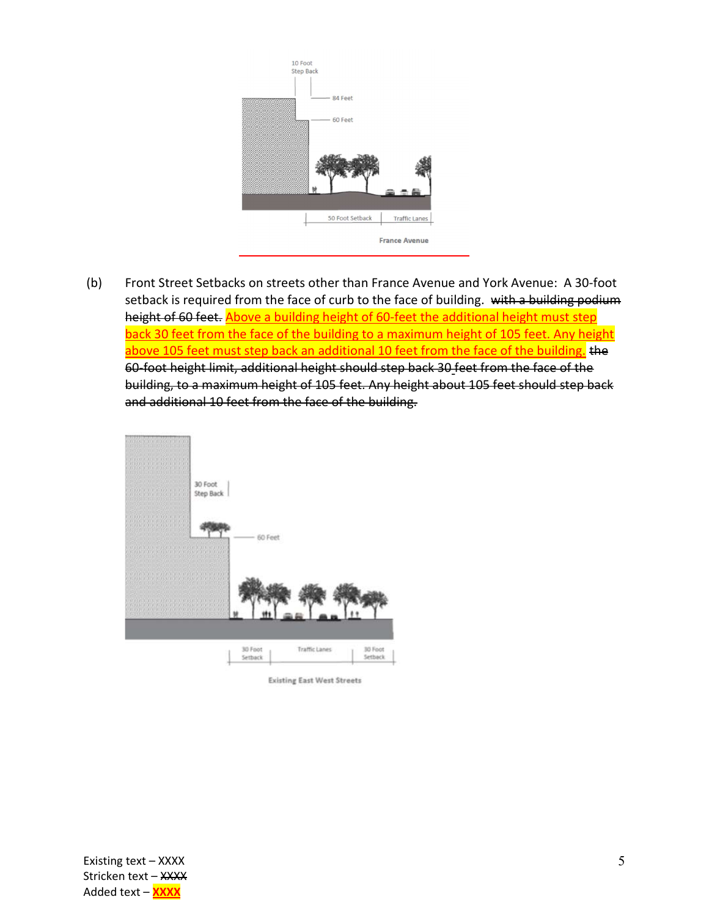

 (b) Front Street Setbacks on streets other than France Avenue and York Avenue: A 30-foot setback is required from the face of curb to the face of building. with a building podium height of 60 feet. Above a building height of 60-feet the additional height must step back 30 feet from the face of the building to a maximum height of 105 feet. Any height above 105 feet must step back an additional 10 feet from the face of the building. the 60-foot height limit, additional height should step back 30 feet from the face of the building, to a maximum height of 105 feet. Any height about 105 feet should step back and additional 10 feet from the face of the building.



**Existing East West Streets**